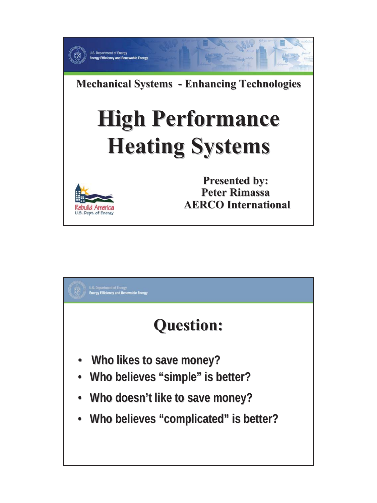

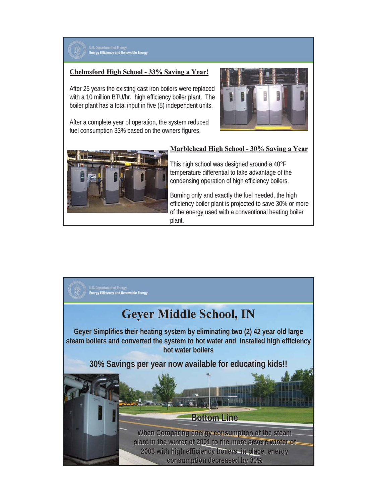

### **Chelmsford High School Chelmsford High School - 33% Saving a Year! 33% Saving a Year!**

After 25 years the existing cast iron boilers were replaced with a 10 million BTU/hr. high efficiency boiler plant. The boiler plant has a total input in five (5) independent units.

After a complete year of operation, the system reduced fuel consumption 33% based on the owners figures.





#### **Marblehead High School - 30% Saving a Year**

This high school was designed around a 40°F temperature differential to take advantage of the condensing operation of high efficiency boilers.

Burning only and exactly the fuel needed, the high efficiency boiler plant is projected to save 30% or more of the energy used with a conventional heating boiler plant.

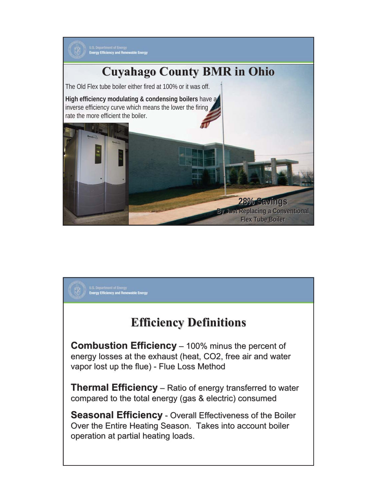

## **Efficiency Definitions Efficiency Definitions**

U.S. Department of Energy<br>Energy Efficiency and Renewable Energy

**Combustion Efficiency** – 100% minus the percent of energy losses at the exhaust (heat, CO2, free air and water vapor lost up the flue) - Flue Loss Method

**Thermal Efficiency** – Ratio of energy transferred to water compared to the total energy (gas & electric) consumed

**Seasonal Efficiency** - Overall Effectiveness of the Boiler Over the Entire Heating Season. Takes into account boiler operation at partial heating loads.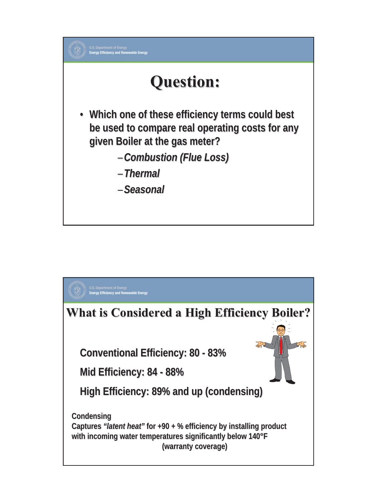

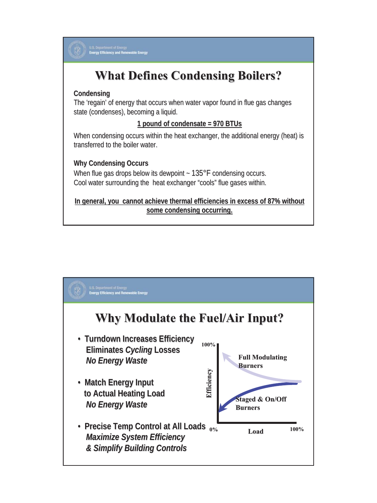

U.S. Department of Energy<br>Energy Efficiency and Renewable Energy

# **What Defines Condensing Boilers?**

### **Condensing Condensing**

The 'regain' of energy that occurs when water vapor found in flue gas changes state (condenses), becoming a liquid.

### **1 pound of condensate = 970 BTUs 1 pound of condensate = 970 BTUs**

When condensing occurs within the heat exchanger, the additional energy (heat) is transferred to the boiler water.

### **Why Condensing Occurs Why Condensing**

When flue gas drops below its dewpoint  $\sim 135^{\circ}$ F condensing occurs. Cool water surrounding the heat exchanger "cools" flue gases within.

In general, you cannot achieve thermal efficiencies in excess of 87% without **some condensing occurring.**

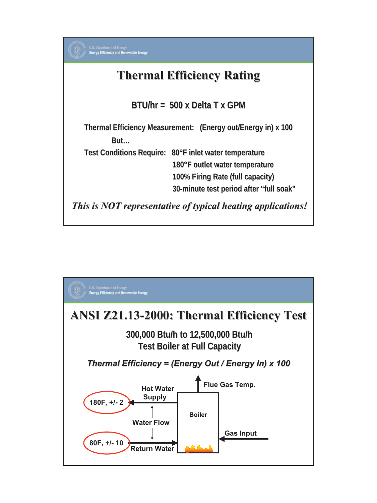

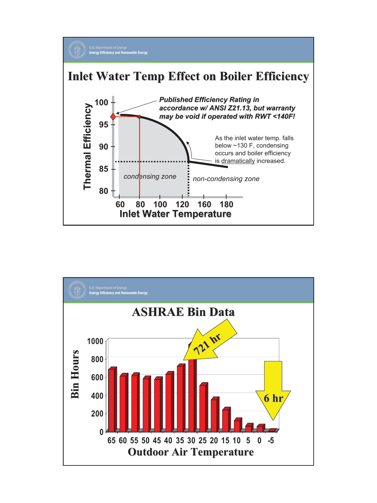

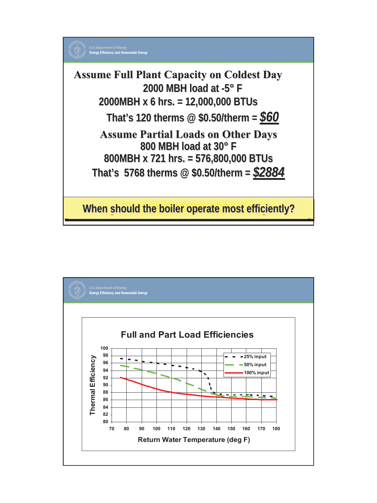

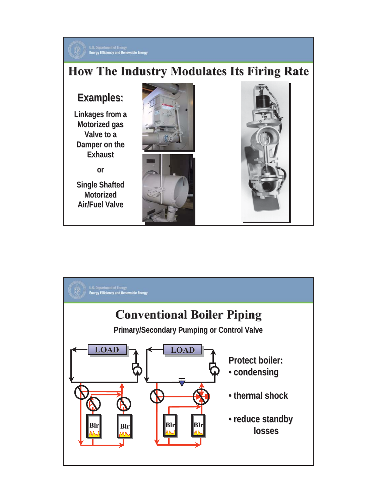

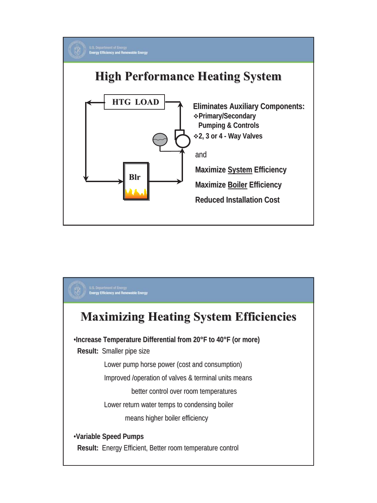

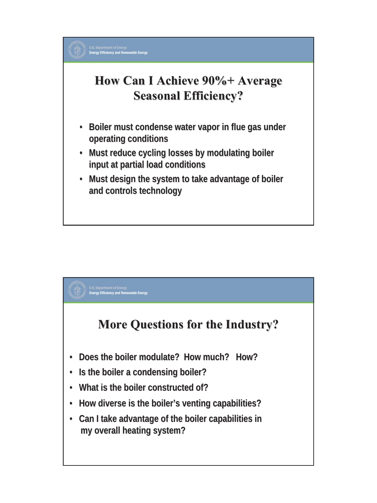